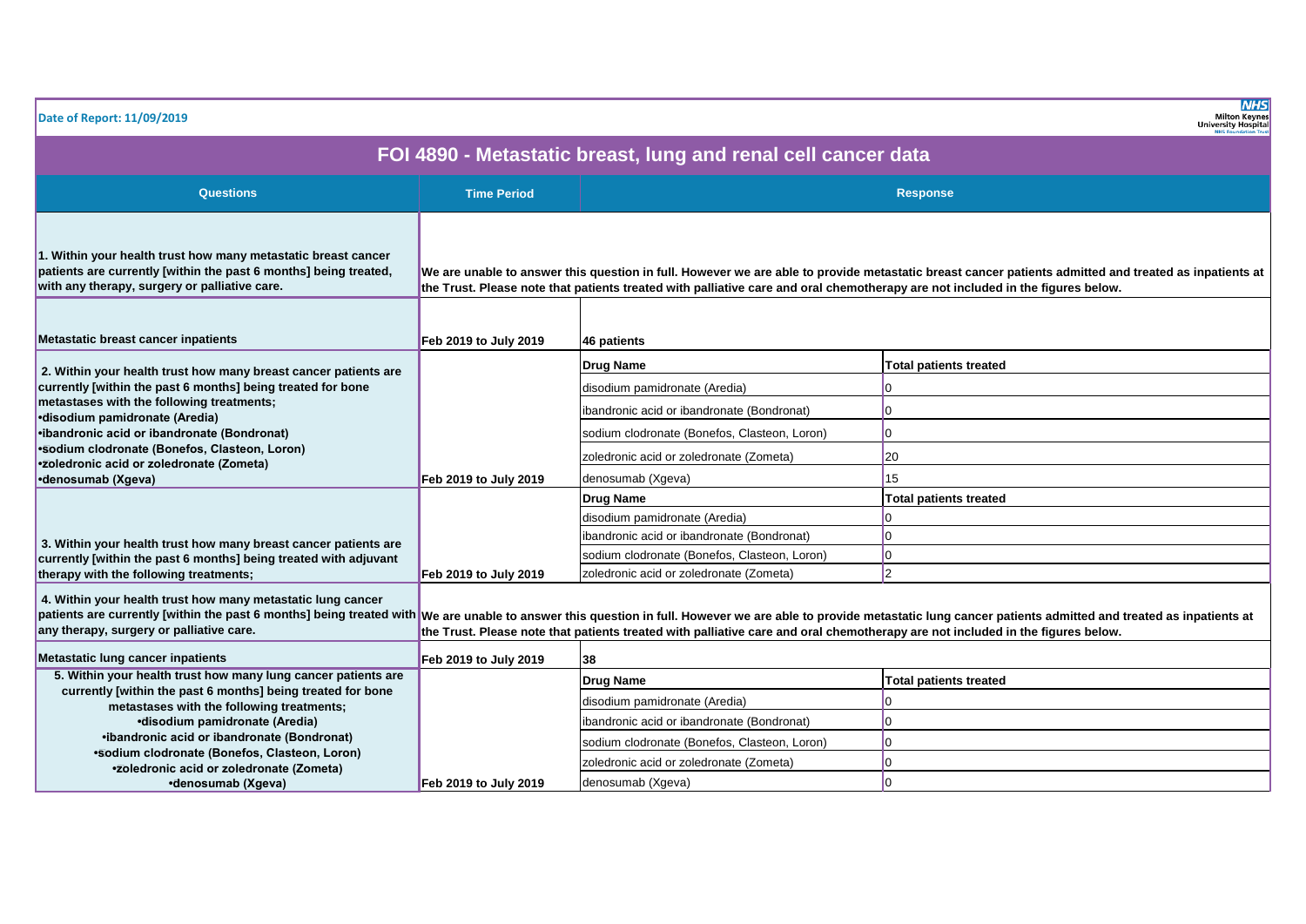| Date of Report: 11/09/2019                                                                                                                                                                                                                                                                       |                       |                                                                                                                                | <b>NHS</b><br><b>Milton Keynes</b><br><b>University Hospital</b>                                                                                                                                                         |
|--------------------------------------------------------------------------------------------------------------------------------------------------------------------------------------------------------------------------------------------------------------------------------------------------|-----------------------|--------------------------------------------------------------------------------------------------------------------------------|--------------------------------------------------------------------------------------------------------------------------------------------------------------------------------------------------------------------------|
|                                                                                                                                                                                                                                                                                                  |                       | FOI 4890 - Metastatic breast, lung and renal cell cancer data                                                                  |                                                                                                                                                                                                                          |
| Questions                                                                                                                                                                                                                                                                                        | <b>Time Period</b>    |                                                                                                                                | <b>Response</b>                                                                                                                                                                                                          |
| 1. Within your health trust how many metastatic breast cancer<br>patients are currently [within the past 6 months] being treated,<br>with any therapy, surgery or palliative care.                                                                                                               |                       | the Trust. Please note that patients treated with palliative care and oral chemotherapy are not included in the figures below. | We are unable to answer this question in full. However we are able to provide metastatic breast cancer patients admitted and treated as inpatients at                                                                    |
| Metastatic breast cancer inpatients                                                                                                                                                                                                                                                              | Feb 2019 to July 2019 | 46 patients                                                                                                                    |                                                                                                                                                                                                                          |
| 2. Within your health trust how many breast cancer patients are<br>currently [within the past 6 months] being treated for bone<br>metastases with the following treatments;<br>•disodium pamidronate (Aredia)                                                                                    |                       | <b>Drug Name</b>                                                                                                               | <b>Total patients treated</b>                                                                                                                                                                                            |
|                                                                                                                                                                                                                                                                                                  |                       | disodium pamidronate (Aredia)                                                                                                  | l٥                                                                                                                                                                                                                       |
|                                                                                                                                                                                                                                                                                                  |                       | ibandronic acid or ibandronate (Bondronat)                                                                                     | l0                                                                                                                                                                                                                       |
| •ibandronic acid or ibandronate (Bondronat)                                                                                                                                                                                                                                                      |                       | sodium clodronate (Bonefos, Clasteon, Loron)                                                                                   | 10                                                                                                                                                                                                                       |
| •Sodium clodronate (Bonefos, Clasteon, Loron)<br>•zoledronic acid or zoledronate (Zometa)<br>•denosumab (Xgeva)<br>3. Within your health trust how many breast cancer patients are<br>currently [within the past 6 months] being treated with adjuvant<br>therapy with the following treatments; |                       | zoledronic acid or zoledronate (Zometa)                                                                                        | 20                                                                                                                                                                                                                       |
|                                                                                                                                                                                                                                                                                                  | Feb 2019 to July 2019 | denosumab (Xgeva)                                                                                                              | 15                                                                                                                                                                                                                       |
|                                                                                                                                                                                                                                                                                                  |                       | <b>Drug Name</b>                                                                                                               | <b>Total patients treated</b>                                                                                                                                                                                            |
|                                                                                                                                                                                                                                                                                                  |                       | disodium pamidronate (Aredia)                                                                                                  |                                                                                                                                                                                                                          |
|                                                                                                                                                                                                                                                                                                  |                       | ibandronic acid or ibandronate (Bondronat)                                                                                     | l0                                                                                                                                                                                                                       |
|                                                                                                                                                                                                                                                                                                  |                       | sodium clodronate (Bonefos, Clasteon, Loron)                                                                                   | 10                                                                                                                                                                                                                       |
|                                                                                                                                                                                                                                                                                                  | Feb 2019 to July 2019 | zoledronic acid or zoledronate (Zometa)                                                                                        | 2                                                                                                                                                                                                                        |
| 4. Within your health trust how many metastatic lung cancer<br>any therapy, surgery or palliative care.                                                                                                                                                                                          |                       | the Trust. Please note that patients treated with palliative care and oral chemotherapy are not included in the figures below. | patients are currently [within the past 6 months] being treated with We are unable to answer this question in full. However we are able to provide metastatic lung cancer patients admitted and treated as inpatients at |
| Metastatic lung cancer inpatients                                                                                                                                                                                                                                                                | Feb 2019 to July 2019 | 38                                                                                                                             |                                                                                                                                                                                                                          |
| 5. Within your health trust how many lung cancer patients are                                                                                                                                                                                                                                    |                       | <b>Drug Name</b>                                                                                                               | <b>Total patients treated</b>                                                                                                                                                                                            |
| currently [within the past 6 months] being treated for bone<br>metastases with the following treatments;                                                                                                                                                                                         |                       | disodium pamidronate (Aredia)                                                                                                  | l0                                                                                                                                                                                                                       |
| •disodium pamidronate (Aredia)                                                                                                                                                                                                                                                                   |                       | ibandronic acid or ibandronate (Bondronat)                                                                                     | l0.                                                                                                                                                                                                                      |
| •ibandronic acid or ibandronate (Bondronat)                                                                                                                                                                                                                                                      |                       | sodium clodronate (Bonefos, Clasteon, Loron)                                                                                   | l0                                                                                                                                                                                                                       |
| •Sodium clodronate (Bonefos, Clasteon, Loron)<br>•zoledronic acid or zoledronate (Zometa)                                                                                                                                                                                                        |                       | zoledronic acid or zoledronate (Zometa)                                                                                        | l0                                                                                                                                                                                                                       |
| •denosumab (Xgeva)                                                                                                                                                                                                                                                                               | Feb 2019 to July 2019 | denosumab (Xgeva)                                                                                                              | lo.                                                                                                                                                                                                                      |